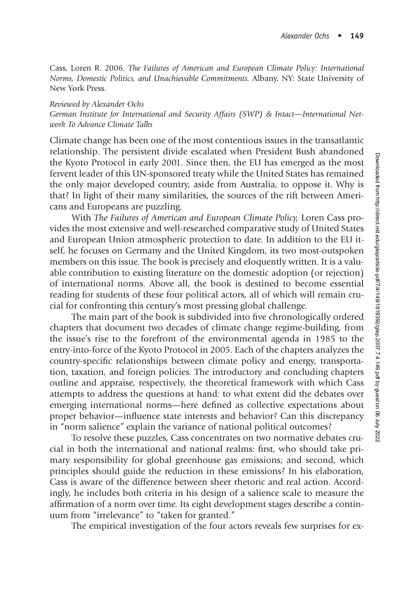Cass, Loren R. 2006. *The Failures of American and European Climate Policy: International Norms, Domestic Politics, and Unachievable Commitments.* Albany, NY: State University of New York Press.

## *Reviewed by Alexander Ochs*

*German Institute for International and Security Affairs (SWP) & Intact—International Network To Advance Climate Talks*

Climate change has been one of the most contentious issues in the transatlantic relationship. The persistent divide escalated when President Bush abandoned the Kyoto Protocol in early 2001. Since then, the EU has emerged as the most fervent leader of this UN-sponsored treaty while the United States has remained the only major developed country, aside from Australia, to oppose it. Why is that? In light of their many similarities, the sources of the rift between Americans and Europeans are puzzling.

With *The Failures of American and European Climate Policy,* Loren Cass provides the most extensive and well-researched comparative study of United States and European Union atmospheric protection to date. In addition to the EU itself, he focuses on Germany and the United Kingdom, its two most-outspoken members on this issue. The book is precisely and eloquently written. It is a valuable contribution to existing literature on the domestic adoption (or rejection) of international norms. Above all, the book is destined to become essential reading for students of these four political actors, all of which will remain crucial for confronting this century's most pressing global challenge.

The main part of the book is subdivided into five chronologically ordered chapters that document two decades of climate change regime-building, from the issue's rise to the forefront of the environmental agenda in 1985 to the entry-into-force of the Kyoto Protocol in 2005. Each of the chapters analyzes the country-specific relationships between climate policy and energy, transportation, taxation, and foreign policies. The introductory and concluding chapters outline and appraise, respectively, the theoretical framework with which Cass attempts to address the questions at hand: to what extent did the debates over emerging international norms—here defined as collective expectations about proper behavior—influence state interests and behavior? Can this discrepancy in "norm salience" explain the variance of national political outcomes?

To resolve these puzzles, Cass concentrates on two normative debates crucial in both the international and national realms: first, who should take primary responsibility for global greenhouse gas emissions; and second, which principles should guide the reduction in these emissions? In his elaboration, Cass is aware of the difference between sheer rhetoric and real action. Accordingly, he includes both criteria in his design of a salience scale to measure the affirmation of a norm over time. Its eight development stages describe a continuum from "irrelevance" to "taken for granted."

The empirical investigation of the four actors reveals few surprises for ex-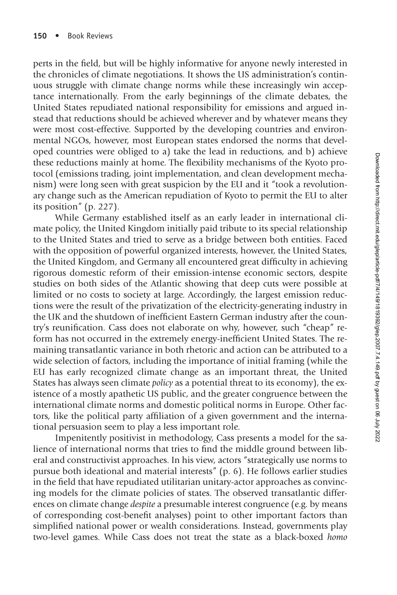perts in the field, but will be highly informative for anyone newly interested in the chronicles of climate negotiations. It shows the US administration's continuous struggle with climate change norms while these increasingly win acceptance internationally. From the early beginnings of the climate debates, the United States repudiated national responsibility for emissions and argued instead that reductions should be achieved wherever and by whatever means they were most cost-effective. Supported by the developing countries and environmental NGOs, however, most European states endorsed the norms that developed countries were obliged to a) take the lead in reductions, and b) achieve these reductions mainly at home. The flexibility mechanisms of the Kyoto protocol (emissions trading, joint implementation, and clean development mechanism) were long seen with great suspicion by the EU and it "took a revolutionary change such as the American repudiation of Kyoto to permit the EU to alter its position" (p. 227).

While Germany established itself as an early leader in international climate policy, the United Kingdom initially paid tribute to its special relationship to the United States and tried to serve as a bridge between both entities. Faced with the opposition of powerful organized interests, however, the United States, the United Kingdom, and Germany all encountered great difficulty in achieving rigorous domestic reform of their emission-intense economic sectors, despite studies on both sides of the Atlantic showing that deep cuts were possible at limited or no costs to society at large. Accordingly, the largest emission reductions were the result of the privatization of the electricity-generating industry in the UK and the shutdown of inefficient Eastern German industry after the country's reunification. Cass does not elaborate on why, however, such "cheap" reform has not occurred in the extremely energy-inefficient United States. The remaining transatlantic variance in both rhetoric and action can be attributed to a wide selection of factors, including the importance of initial framing (while the EU has early recognized climate change as an important threat, the United States has always seen climate *policy* as a potential threat to its economy), the existence of a mostly apathetic US public, and the greater congruence between the international climate norms and domestic political norms in Europe. Other factors, like the political party affiliation of a given government and the international persuasion seem to play a less important role.

Impenitently positivist in methodology, Cass presents a model for the salience of international norms that tries to find the middle ground between liberal and constructivist approaches. In his view, actors "strategically use norms to pursue both ideational and material interests" (p. 6). He follows earlier studies in the field that have repudiated utilitarian unitary-actor approaches as convincing models for the climate policies of states. The observed transatlantic differences on climate change *despite* a presumable interest congruence (e.g. by means of corresponding cost-benefit analyses) point to other important factors than simplified national power or wealth considerations. Instead, governments play two-level games. While Cass does not treat the state as a black-boxed *homo*